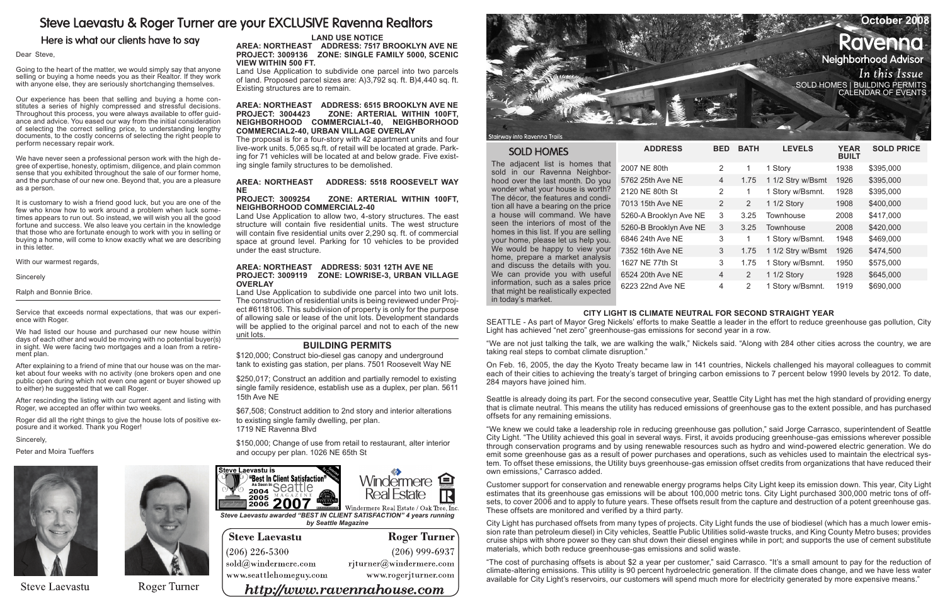# Steve Laevastu & Roger Turner are your EXCLUSIVE Ravenna Realtors

# Here is what our clients have to say

#### Dear Steve,

Going to the heart of the matter, we would simply say that anyone selling or buying a home needs you as their Realtor. If they work with anyone else, they are seriously shortchanging themselves.

Our experience has been that selling and buying a home constitutes a series of highly compressed and stressful decisions. Throughout this process, you were always available to offer guidance and advice. You eased our way from the initial consideration of selecting the correct selling price, to understanding lengthy documents, to the costly concerns of selecting the right people to perform necessary repair work.

We have never seen a professional person work with the high degree of expertise, honesty, optimism, diligence, and plain common sense that you exhibited throughout the sale of our former home, and the purchase of our new one. Beyond that, you are a pleasure as a person.

It is customary to wish a friend good luck, but you are one of the few who know how to work around a problem when luck sometimes appears to run out. So instead, we will wish you all the good fortune and success. We also leave you certain in the knowledge that those who are fortunate enough to work with you in selling or buying a home, will come to know exactly what we are describing in this letter.

With our warmest regards,

Sincerely

Ralph and Bonnie Brice.

Service that exceeds normal expectations, that was our experience with Roger.

We had listed our house and purchased our new house within days of each other and would be moving with no potential buyer(s) in sight. We were facing two mortgages and a loan from a retirement plan.

| October 2008                                          |
|-------------------------------------------------------|
| <b>Ravenna</b>                                        |
| Neighborhood Advisor                                  |
| In this Issue                                         |
| SOLD HOMES   BUILDING PERMITS<br>  CALENDAR OF EVENTS |
|                                                       |
|                                                       |

After explaining to a friend of mine that our house was on the market about four weeks with no activity (one brokers open and one public open during which not even one agent or buyer showed up to either) he suggested that we call Roger.

After rescinding the listing with our current agent and listing with Roger, we accepted an offer within two weeks.

Roger did all the right things to give the house lots of positive exposure and it worked. Thank you Roger!

# **Area: Northeast Address: 5518 ROOSEVELT WAY NE<br>PROJECT: 3009254**

Sincerely,

Peter and Moira Tueffers



**Steve Laevastu** 



Roger Turner

The adjacent list is homes that sold in our Ravenna Neighborhood over the last month. Do you wonder what your house is worth? The décor, the features and condition all have a bearing on the price a house will command. We have seen the interiors of most of the homes in this list. If you are selling your home, please let us help you. We would be happy to view your home, prepare a market analysis and discuss the details with you. information, such as a sales price that might be realistically expected in today's market.

 $ADDRESS$ 

| <b>SOLD HOMES</b>                                                                                                                                                                                                                                                                                                                                                                                                                                                                                                                                                                                      | <b>ADDRESS</b>         |                       | <b>BED BATH</b> | <b>LEVELS</b>     | <b>YEAR</b><br><b>BUILT</b> | <b>SOLD PRICE</b> |
|--------------------------------------------------------------------------------------------------------------------------------------------------------------------------------------------------------------------------------------------------------------------------------------------------------------------------------------------------------------------------------------------------------------------------------------------------------------------------------------------------------------------------------------------------------------------------------------------------------|------------------------|-----------------------|-----------------|-------------------|-----------------------------|-------------------|
| The adjacent list is homes that<br>sold in our Ravenna Neighbor-<br>hood over the last month. Do you<br>wonder what your house is worth?<br>The décor, the features and condi-<br>tion all have a bearing on the price<br>a house will command. We have<br>seen the interiors of most of the<br>homes in this list. If you are selling<br>your home, please let us help you.<br>We would be happy to view your<br>home, prepare a market analysis<br>and discuss the details with you.<br>We can provide you with useful<br>information, such as a sales price<br>that might he realistically expected | 2007 NE 80th           | $\overline{2}$        |                 | 1 Story           | 1938                        | \$395,000         |
|                                                                                                                                                                                                                                                                                                                                                                                                                                                                                                                                                                                                        | 5762 25th Ave NE       | $\overline{4}$        | 1.75            | 1 1/2 Stry w/Bsmt | 1926                        | \$395,000         |
|                                                                                                                                                                                                                                                                                                                                                                                                                                                                                                                                                                                                        | 2120 NE 80th St        | $\overline{2}$        |                 | 1 Story w/Bsmnt.  | 1928                        | \$395,000         |
|                                                                                                                                                                                                                                                                                                                                                                                                                                                                                                                                                                                                        | 7013 15th Ave NE       | $\mathbf{2}^{\prime}$ | $\overline{2}$  | 1 1/2 Story       | 1908                        | \$400,000         |
|                                                                                                                                                                                                                                                                                                                                                                                                                                                                                                                                                                                                        | 5260-A Brooklyn Ave NE | 3                     | 3.25            | Townhouse         | 2008                        | \$417,000         |
|                                                                                                                                                                                                                                                                                                                                                                                                                                                                                                                                                                                                        | 5260-B Brooklyn Ave NE | 3                     | 3.25            | Townhouse         | 2008                        | \$420,000         |
|                                                                                                                                                                                                                                                                                                                                                                                                                                                                                                                                                                                                        | 6846 24th Ave NE       | 3                     | 1               | 1 Story w/Bsmnt.  | 1948                        | \$469,000         |
|                                                                                                                                                                                                                                                                                                                                                                                                                                                                                                                                                                                                        | 7352 16th Ave NE       | 3                     | 1.75            | 1 1/2 Stry w/Bsmt | 1926                        | \$474,500         |
|                                                                                                                                                                                                                                                                                                                                                                                                                                                                                                                                                                                                        | 1627 NE 77th St        | 3                     | 1.75            | 1 Story w/Bsmnt.  | 1950                        | \$575,000         |
|                                                                                                                                                                                                                                                                                                                                                                                                                                                                                                                                                                                                        | 6524 20th Ave NE       | $\overline{4}$        | $\overline{2}$  | 1 1/2 Story       | 1928                        | \$645,000         |
|                                                                                                                                                                                                                                                                                                                                                                                                                                                                                                                                                                                                        | 6223 22nd Ave NE       | 4                     | 2               | 1 Story w/Bsmnt.  | 1919                        | \$690,000         |



www.seattlehomeguy.com

www.rogerjturner.com



#### **SOLD HOMES**

### **LAND USE NOTICE**

**Area: Northeast Address: 7517 BROOKLYN AVE NE Project: 3009136 Zone: SINGLE FAMILY 5000, SCENIC VIEW WITHIN 500 FT.** 

Land Use Application to subdivide one parcel into two parcels of land. Proposed parcel sizes are: A)3,792 sq. ft. B)4,440 sq. ft. Existing structures are to remain.

#### **Area: Northeast Address: 6515 BROOKLYN AVE NE Project: 3004423 Zone: ARTERIAL WITHIN 100FT, NEIGHBORHOOD COMMERCIAL1-40, NEIGHBORHOOD COMMERCIAL2-40, URBAN VILLAGE OVERLAY**

The proposal is for a four-story with 42 apartment units and four live-work units. 5,065 sq.ft. of retail will be located at grade. Parking for 71 vehicles will be located at and below grade. Five existing single family structures to be demolished.

#### **Project: 3009254 Zone: ARTERIAL WITHIN 100FT, NEIGHBORHOOD COMMERCIAL2-40**

Land Use Application to allow two, 4-story structures. The east structure will contain five residential units. The west structure will contain five residential units over 2,290 sq. ft. of commercial space at ground level. Parking for 10 vehicles to be provided under the east structure.

#### **Area: Northeast Address: 5031 12TH AVE NE Project: 3009119 Zone: LOWRISE-3, URBAN VILLAGE OVERLAY**

Land Use Application to subdivide one parcel into two unit lots. The construction of residential units is being reviewed under Project #6118106. This subdivision of property is only for the purpose of allowing sale or lease of the unit lots. Development standards will be applied to the original parcel and not to each of the new unit lots.

## **Building Permits**

\$120,000; Construct bio-diesel gas canopy and underground tank to existing gas station, per plans. 7501 Roosevelt Way NE

\$250,017; Construct an addition and partially remodel to existing single family residence, establish use as a duplex, per plan. 5611 15th Ave NE

\$67,508; Construct addition to 2nd story and interior alterations to existing single family dwelling, per plan. 1719 NE Ravenna Blvd

\$150,000; Change of use from retail to restaurant, alter interior and occupy per plan. 1026 NE 65th St

### **City Light is Climate Neutral for Second Straight Year**

SEATTLE - As part of Mayor Greg Nickels' efforts to make Seattle a leader in the effort to reduce greenhouse gas pollution, City Light has achieved "net zero" greenhouse-gas emissions for second year in a row.

"We are not just talking the talk, we are walking the walk," Nickels said. "Along with 284 other cities across the country, we are taking real steps to combat climate disruption."

On Feb. 16, 2005, the day the Kyoto Treaty became law in 141 countries, Nickels challenged his mayoral colleagues to commit each of their cities to achieving the treaty's target of bringing carbon emissions to 7 percent below 1990 levels by 2012. To date, 284 mayors have joined him.

Seattle is already doing its part. For the second consecutive year, Seattle City Light has met the high standard of providing energy that is climate neutral. This means the utility has reduced emissions of greenhouse gas to the extent possible, and has purchased offsets for any remaining emissions.

"We knew we could take a leadership role in reducing greenhouse gas pollution," said Jorge Carrasco, superintendent of Seattle City Light. "The Utility achieved this goal in several ways. First, it avoids producing greenhouse-gas emissions wherever possible through conservation programs and by using renewable resources such as hydro and wind-powered electric generation. We do emit some greenhouse gas as a result of power purchases and operations, such as vehicles used to maintain the electrical system. To offset these emissions, the Utility buys greenhouse-gas emission offset credits from organizations that have reduced their own emissions," Carrasco added.

Customer support for conservation and renewable energy programs helps City Light keep its emission down. This year, City Light estimates that its greenhouse gas emissions will be about 100,000 metric tons. City Light purchased 300,000 metric tons of offsets, to cover 2006 and to apply to future years. These offsets result from the capture and destruction of a potent greenhouse gas. These offsets are monitored and verified by a third party.

City Light has purchased offsets from many types of projects. City Light funds the use of biodiesel (which has a much lower emission rate than petroleum diesel) in City vehicles, Seattle Public Utilities solid-waste trucks, and King County Metro buses; provides cruise ships with shore power so they can shut down their diesel engines while in port; and supports the use of cement substitute materials, which both reduce greenhouse-gas emissions and solid waste.

"The cost of purchasing offsets is about \$2 a year per customer," said Carrasco. "It's a small amount to pay for the reduction of climate-altering emissions. This utility is 90 percent hydroelectric generation. If the climate does change, and we have less water available for City Light's reservoirs, our customers will spend much more for electricity generated by more expensive means."

http://www.ravennahouse.com